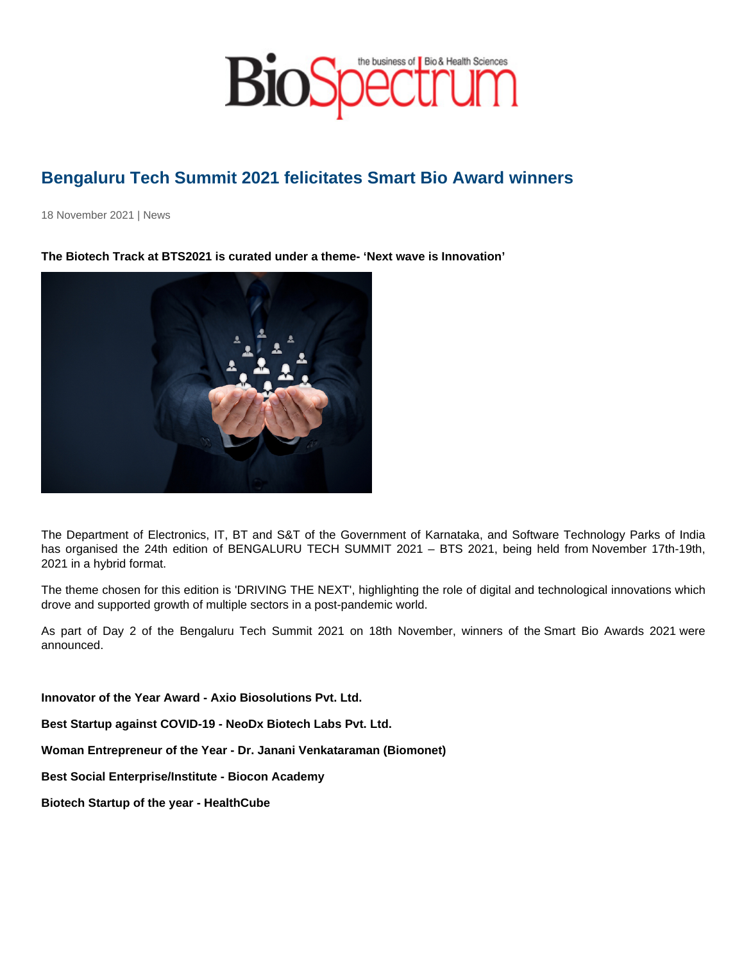## Bengaluru Tech Summit 2021 felicitates Smart Bio Award winners

18 November 2021 | News

The Biotech Track at BTS2021 is curated under a theme- 'Next wave is Innovation'

The Department of Electronics, IT, BT and S&T of the Government of Karnataka, and Software Technology Parks of India has organised the 24th edition of BENGALURU TECH SUMMIT 2021 - BTS 2021, being held from November 17th-19th, 2021 in a hybrid format.

The theme chosen for this edition is 'DRIVING THE NEXT', highlighting the role of digital and technological innovations which drove and supported growth of multiple sectors in a post-pandemic world.

As part of Day 2 of the Bengaluru Tech Summit 2021 on 18th November, winners of the Smart Bio Awards 2021 were announced.

Innovator of the Year Award - Axio Biosolutions Pvt. Ltd.

Best Startup against COVID-19 - NeoDx Biotech Labs Pvt. Ltd.

Woman Entrepreneur of the Year - Dr. Janani Venkataraman (Biomonet)

Best Social Enterprise/Institute - Biocon Academy

Biotech Startup of the year - HealthCube